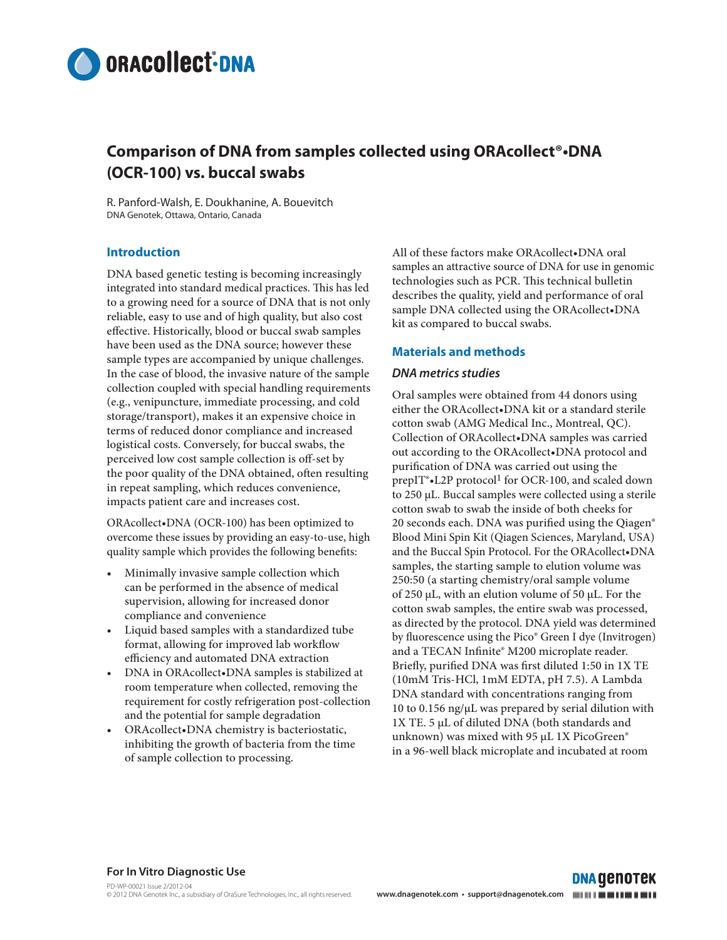

# **Comparison of DNA from samples collected using ORAcollect®•DNA (OCR‑100) vs. buccal swabs**

R. Panford-Walsh, E. Doukhanine, A. Bouevitch DNA Genotek, Ottawa, Ontario, Canada

### **Introduction**

DNA based genetic testing is becoming increasingly integrated into standard medical practices. This has led to a growing need for a source of DNA that is not only reliable, easy to use and of high quality, but also cost effective. Historically, blood or buccal swab samples have been used as the DNA source; however these sample types are accompanied by unique challenges. In the case of blood, the invasive nature of the sample collection coupled with special handling requirements (e.g., venipuncture, immediate processing, and cold storage/transport), makes it an expensive choice in terms of reduced donor compliance and increased logistical costs. Conversely, for buccal swabs, the perceived low cost sample collection is off-set by the poor quality of the DNA obtained, often resulting in repeat sampling, which reduces convenience, impacts patient care and increases cost.

ORAcollect•DNA (OCR-100) has been optimized to overcome these issues by providing an easy-to-use, high quality sample which provides the following benefits:

- Minimally invasive sample collection which can be performed in the absence of medical supervision, allowing for increased donor compliance and convenience
- Liquid based samples with a standardized tube format, allowing for improved lab workflow efficiency and automated DNA extraction
- DNA in ORAcollect•DNA samples is stabilized at room temperature when collected, removing the requirement for costly refrigeration post-collection and the potential for sample degradation
- ORAcollect•DNA chemistry is bacteriostatic, inhibiting the growth of bacteria from the time of sample collection to processing.

All of these factors make ORAcollect•DNA oral samples an attractive source of DNA for use in genomic technologies such as PCR. This technical bulletin describes the quality, yield and performance of oral sample DNA collected using the ORAcollect•DNA kit as compared to buccal swabs.

### **Materials and methods**

### *DNA metrics studies*

Oral samples were obtained from 44 donors using either the ORAcollect•DNA kit or a standard sterile cotton swab (AMG Medical Inc., Montreal, QC). Collection of ORAcollect•DNA samples was carried out according to the ORAcollect•DNA protocol and purification of DNA was carried out using the prepIT®•L2P protocol<sup>1</sup> for OCR-100, and scaled down to 250 µL. Buccal samples were collected using a sterile cotton swab to swab the inside of both cheeks for 20 seconds each. DNA was purified using the Qiagen® Blood Mini Spin Kit (Qiagen Sciences, Maryland, USA) and the Buccal Spin Protocol. For the ORAcollect•DNA samples, the starting sample to elution volume was 250:50 (a starting chemistry/oral sample volume of 250 μL, with an elution volume of 50 μL. For the cotton swab samples, the entire swab was processed, as directed by the protocol. DNA yield was determined by fluorescence using the Pico® Green I dye (Invitrogen) and a TECAN Infinite® M200 microplate reader. Briefly, purified DNA was first diluted 1:50 in 1X TE (10mM Tris-HCl, 1mM EDTA, pH 7.5). A Lambda DNA standard with concentrations ranging from 10 to 0.156 ng/µL was prepared by serial dilution with 1X TE. 5 µL of diluted DNA (both standards and unknown) was mixed with 95 µL 1X PicoGreen® in a 96-well black microplate and incubated at room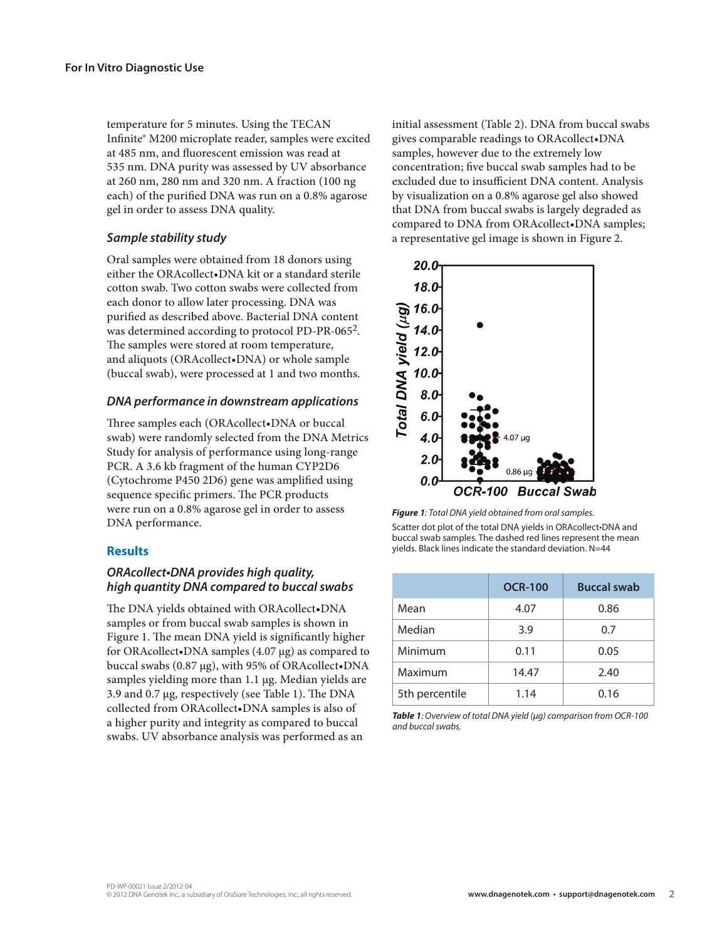temperature for 5 minutes. Using the TECAN Infinite® M200 microplate reader, samples were excited at 485 nm, and fluorescent emission was read at 535 nm. DNA purity was assessed by UV absorbance at 260 nm, 280 nm and 320 nm. A fraction (100 ng each) of the purified DNA was run on a 0.8% agarose gel in order to assess DNA quality.

### *Sample stability study*

Oral samples were obtained from 18 donors using either the ORAcollect•DNA kit or a standard sterile cotton swab. Two cotton swabs were collected from each donor to allow later processing. DNA was purified as described above. Bacterial DNA content was determined according to protocol PD-PR-065<sup>2</sup>. The samples were stored at room temperature, and aliquots (ORAcollect•DNA) or whole sample (buccal swab), were processed at 1 and two months.

### *DNA performance in downstream applications*

Three samples each (ORAcollect•DNA or buccal swab) were randomly selected from the DNA Metrics Study for analysis of performance using long-range PCR. A 3.6 kb fragment of the human CYP2D6 (Cytochrome P450 2D6) gene was amplified using sequence specific primers. The PCR products were run on a 0.8% agarose gel in order to assess DNA performance.

### **Results**

## **ORAcollect•DNA provides high quality, high quantity DNA compared to buccal swabs**

The DNA yields obtained with ORAcollect•DNA samples or from buccal swab samples is shown in Figure 1. The mean DNA yield is significantly higher for ORAcollect•DNA samples (4.07 µg) as compared to buccal swabs (0.87 µg), with 95% of ORAcollect•DNA samples yielding more than 1.1 µg. Median yields are 3.9 and 0.7 µg, respectively (see Table 1). The DNA collected from ORAcollect•DNA samples is also of a higher purity and integrity as compared to buccal swabs. UV absorbance analysis was performed as an

initial assessment (Table 2). DNA from buccal swabs gives comparable readings to ORAcollect•DNA samples, however due to the extremely low concentration; five buccal swab samples had to be excluded due to insufficient DNA content. Analysis by visualization on a 0.8% agarose gel also showed that DNA from buccal swabs is largely degraded as compared to DNA from ORAcollect•DNA samples; a representative gel image is shown in Figure 2.



*Figure 1: Total DNA yield obtained from oral samples.* Scatter dot plot of the total DNA yields in ORAcollect•DNA and buccal swab samples. The dashed red lines represent the mean yields. Black lines indicate the standard deviation. N=44

|                | <b>OCR-100</b> | <b>Buccal swab</b> |
|----------------|----------------|--------------------|
| Mean           | 4.07           | 0.86               |
| Median         | 3.9            | 0.7                |
| Minimum        | 0.11           | 0.05               |
| Maximum        | 14.47          | 2.40               |
| 5th percentile | 1.14           | 0.16               |

*Table 1: Overview of total DNA yield (µg) comparison from OCR-100 and buccal swabs.*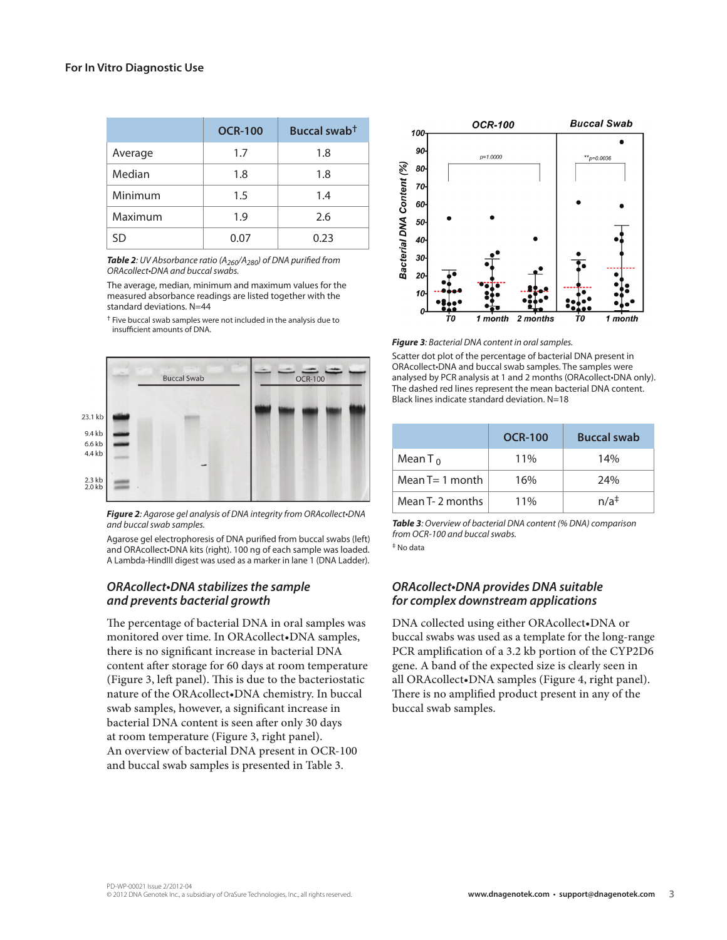|         | <b>OCR-100</b> | Buccal swab <sup>t</sup> |
|---------|----------------|--------------------------|
| Average | 1.7            | 1.8                      |
| Median  | 1.8            | 1.8                      |
| Minimum | 1.5            | 1.4                      |
| Maximum | 1.9            | 2.6                      |
| SD      | 0.07           | 0.23                     |

*Table 2: UV Absorbance ratio (A260/A280) of DNA purified from*  ORAcollect•DNA and buccal swabs.

The average, median, minimum and maximum values for the measured absorbance readings are listed together with the standard deviations. N=44

† Five buccal swab samples were not included in the analysis due to insufficient amounts of DNA.



*Figure 2*: Agarose gel analysis of DNA integrity from ORAcollect•DNA *and buccal swab samples.*

Agarose gel electrophoresis of DNA purified from buccal swabs (left) and ORAcollect•DNA kits (right). 100 ng of each sample was loaded. A Lambda-HindIII digest was used as a marker in lane 1 (DNA Ladder).

### **ORAcollect•DNA stabilizes the sample and prevents bacterial growth**

The percentage of bacterial DNA in oral samples was monitored over time. In ORAcollect•DNA samples, there is no significant increase in bacterial DNA content after storage for 60 days at room temperature (Figure 3, left panel). This is due to the bacteriostatic nature of the ORAcollect•DNA chemistry. In buccal swab samples, however, a significant increase in bacterial DNA content is seen after only 30 days at room temperature (Figure 3, right panel). An overview of bacterial DNA present in OCR-100 and buccal swab samples is presented in Table 3.



*Figure 3: Bacterial DNA content in oral samples.*

Scatter dot plot of the percentage of bacterial DNA present in ORAcollect•DNA and buccal swab samples. The samples were analysed by PCR analysis at 1 and 2 months (ORAcollect•DNA only). The dashed red lines represent the mean bacterial DNA content. Black lines indicate standard deviation. N=18

|                  | <b>OCR-100</b> | <b>Buccal swab</b> |
|------------------|----------------|--------------------|
| Mean $T_0$       | 11%            | 14%                |
| Mean $T=1$ month | 16%            | 24%                |
| Mean T- 2 months | <b>11%</b>     | $n/a^{\ddagger}$   |

*Table 3: Overview of bacterial DNA content (% DNA) comparison from OCR-100 and buccal swabs.* ‡ No data

### **ORAcollect•DNA provides DNA suitable for complex downstream applications**

DNA collected using either ORAcollect•DNA or buccal swabs was used as a template for the long-range PCR amplification of a 3.2 kb portion of the CYP2D6 gene. A band of the expected size is clearly seen in all ORAcollect•DNA samples (Figure 4, right panel). There is no amplified product present in any of the buccal swab samples.